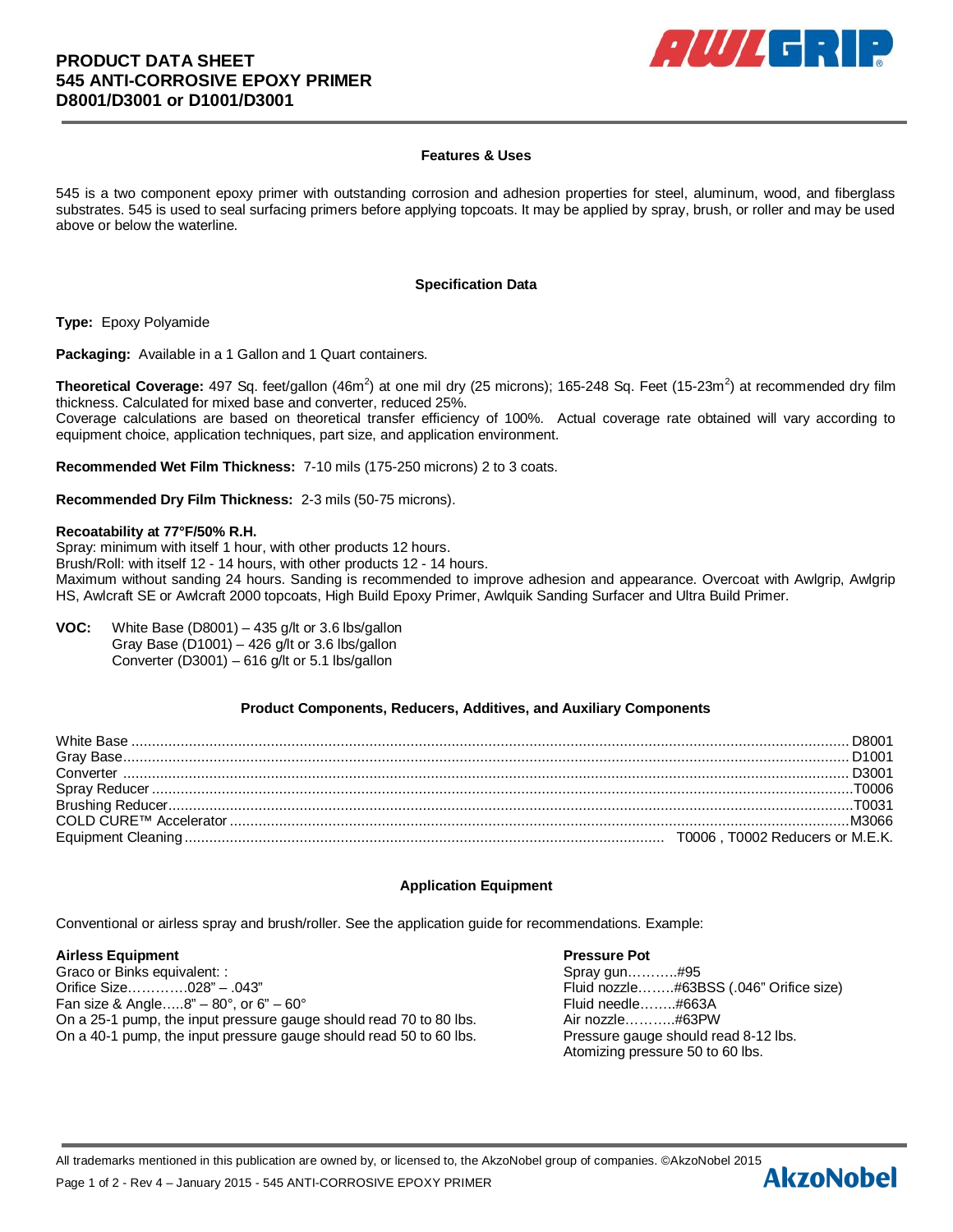

## **Features & Uses**

545 is a two component epoxy primer with outstanding corrosion and adhesion properties for steel, aluminum, wood, and fiberglass substrates. 545 is used to seal surfacing primers before applying topcoats. It may be applied by spray, brush, or roller and may be used above or below the waterline.

## **Specification Data**

**Type:** Epoxy Polyamide

**Packaging:** Available in a 1 Gallon and 1 Quart containers.

Theoretical Coverage: 497 Sq. feet/gallon (46m<sup>2</sup>) at one mil dry (25 microns); 165-248 Sq. Feet (15-23m<sup>2</sup>) at recommended dry film thickness. Calculated for mixed base and converter, reduced 25%. Coverage calculations are based on theoretical transfer efficiency of 100%. Actual coverage rate obtained will vary according to equipment choice, application techniques, part size, and application environment.

**Recommended Wet Film Thickness:** 7-10 mils (175-250 microns) 2 to 3 coats.

**Recommended Dry Film Thickness:** 2-3 mils (50-75 microns).

## **Recoatability at 77°F/50% R.H.**

Spray: minimum with itself 1 hour, with other products 12 hours. Brush/Roll: with itself 12 - 14 hours, with other products 12 - 14 hours. Maximum without sanding 24 hours. Sanding is recommended to improve adhesion and appearance. Overcoat with Awlgrip, Awlgrip HS, Awlcraft SE or Awlcraft 2000 topcoats, High Build Epoxy Primer, Awlquik Sanding Surfacer and Ultra Build Primer.

**VOC:** White Base (D8001) – 435 g/lt or 3.6 lbs/gallon Gray Base (D1001) – 426 g/lt or 3.6 lbs/gallon Converter (D3001) – 616 g/lt or 5.1 lbs/gallon

# **Product Components, Reducers, Additives, and Auxiliary Components**

| D <sub>1001</sub>                |
|----------------------------------|
| D3001                            |
|                                  |
|                                  |
|                                  |
| T0006 . T0002 Reducers or M.E.K. |

# **Application Equipment**

Conventional or airless spray and brush/roller. See the application guide for recommendations. Example:

## **Airless Equipment Pressure Pot**

Graco or Binks equivalent: : Spray gun………..#95 Orifice Size………….028" – .043" Fluid nozzle……..#63BSS (.046" Orifice size) Fan size & Angle….. $8'' - 80^{\circ}$ , or 6" $- 60^{\circ}$  Find needle……..#663A On a 25-1 pump, the input pressure gauge should read 70 to 80 lbs. Air nozzle………..#63PW On a 40-1 pump, the input pressure gauge should read 50 to 60 lbs. Pressure gauge should read 8-12 lbs.

Atomizing pressure 50 to 60 lbs.